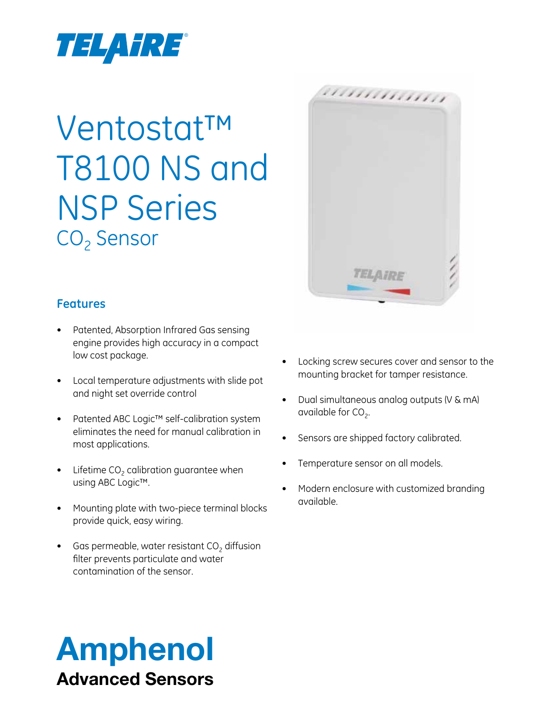

## Ventostat™ T8100 NS and NSP Series CO<sub>2</sub> Sensor

#### **Features**

- Patented, Absorption Infrared Gas sensing engine provides high accuracy in a compact low cost package.
- • Local temperature adjustments with slide pot and night set override control
- • Patented ABC Logic™ self-calibration system eliminates the need for manual calibration in most applications.
- Lifetime  $CO<sub>2</sub>$  calibration guarantee when using ABC Logic™.
- Mounting plate with two-piece terminal blocks provide quick, easy wiring.
- Gas permeable, water resistant  $CO<sub>2</sub>$  diffusion filter prevents particulate and water contamination of the sensor.



- • Locking screw secures cover and sensor to the mounting bracket for tamper resistance.
- Dual simultaneous analog outputs (V & mA) available for  $CO<sub>2</sub>$ .
- Sensors are shipped factory calibrated.
- Temperature sensor on all models.
- Modern enclosure with customized branding available.

### Amphenol Advanced Sensors